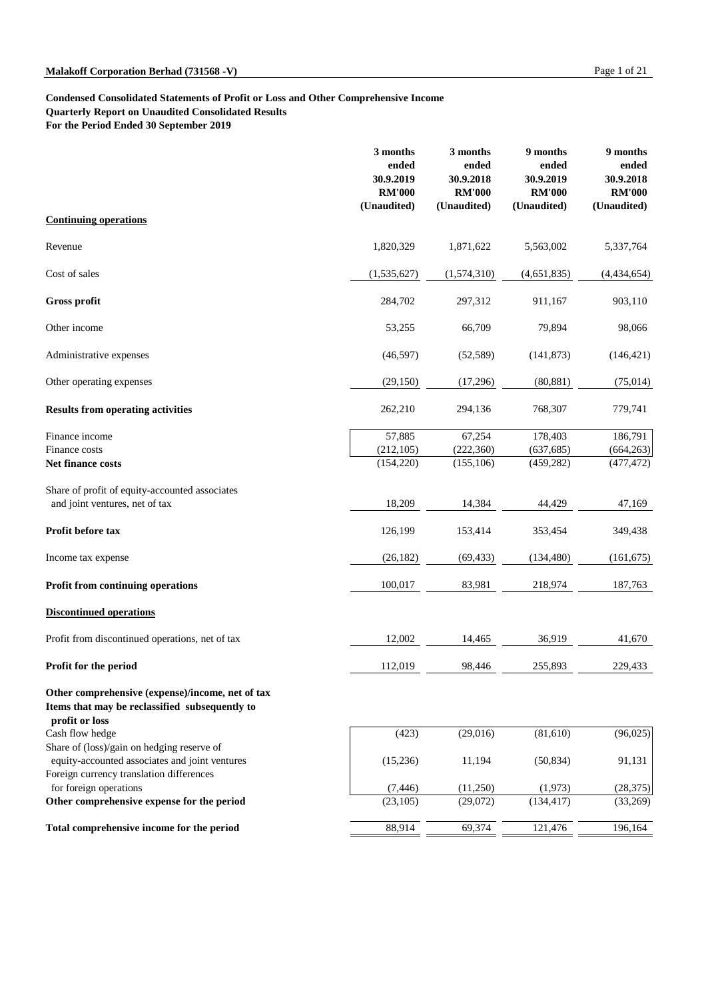### **Condensed Consolidated Statements of Profit or Loss and Other Comprehensive Income Quarterly Report on Unaudited Consolidated Results**

**For the Period Ended 30 September 2019**

|                                                                                  | 3 months<br>ended<br>30.9.2019<br><b>RM'000</b><br>(Unaudited) | 3 months<br>ended<br>30.9.2018<br><b>RM'000</b><br>(Unaudited) | 9 months<br>ended<br>30.9.2019<br><b>RM'000</b><br>(Unaudited) | 9 months<br>ended<br>30.9.2018<br><b>RM'000</b><br>(Unaudited) |
|----------------------------------------------------------------------------------|----------------------------------------------------------------|----------------------------------------------------------------|----------------------------------------------------------------|----------------------------------------------------------------|
| <b>Continuing operations</b>                                                     |                                                                |                                                                |                                                                |                                                                |
| Revenue                                                                          | 1,820,329                                                      | 1,871,622                                                      | 5,563,002                                                      | 5,337,764                                                      |
| Cost of sales                                                                    | (1, 535, 627)                                                  | (1,574,310)                                                    | (4,651,835)                                                    | (4,434,654)                                                    |
| <b>Gross profit</b>                                                              | 284,702                                                        | 297,312                                                        | 911,167                                                        | 903,110                                                        |
| Other income                                                                     | 53,255                                                         | 66,709                                                         | 79,894                                                         | 98,066                                                         |
| Administrative expenses                                                          | (46,597)                                                       | (52, 589)                                                      | (141, 873)                                                     | (146, 421)                                                     |
| Other operating expenses                                                         | (29, 150)                                                      | (17,296)                                                       | (80, 881)                                                      | (75, 014)                                                      |
| <b>Results from operating activities</b>                                         | 262,210                                                        | 294,136                                                        | 768,307                                                        | 779,741                                                        |
| Finance income<br>Finance costs<br>Net finance costs                             | 57,885<br>(212, 105)<br>(154,220)                              | 67,254<br>(222,360)<br>(155, 106)                              | 178,403<br>(637, 685)<br>(459, 282)                            | 186,791<br>(664, 263)<br>(477, 472)                            |
| Share of profit of equity-accounted associates<br>and joint ventures, net of tax | 18,209                                                         | 14,384                                                         | 44,429                                                         | 47,169                                                         |
| Profit before tax                                                                | 126,199                                                        | 153,414                                                        | 353,454                                                        | 349,438                                                        |
| Income tax expense                                                               | (26, 182)                                                      | (69, 433)                                                      | (134, 480)                                                     | (161, 675)                                                     |
| <b>Profit from continuing operations</b>                                         | 100,017                                                        | 83,981                                                         | 218,974                                                        | 187,763                                                        |
| <b>Discontinued operations</b>                                                   |                                                                |                                                                |                                                                |                                                                |
| Profit from discontinued operations, net of tax                                  | 12,002                                                         | 14,465                                                         | 36,919                                                         | 41,670                                                         |
| Profit for the period                                                            | 112,019                                                        | 98,446                                                         | 255,893                                                        | 229,433                                                        |

# **Other comprehensive (expense)/income, net of tax Items that may be reclassified subsequently to**

## **profit or loss**

Cash flow hedge Share of (loss)/gain on hedging reserve of equity-accounted associates and joint ventures Foreign currency translation differences for foreign operations **Other comprehensive expense for the period** 

Total comprehensive income for the period

| (423)    | (29,016) | (81,610)   | (96,025)  |
|----------|----------|------------|-----------|
| (15,236) | 11,194   | (50, 834)  | 91,131    |
| (7, 446) | (11,250) | (1,973)    | (28, 375) |
| (23,105) | (29,072) | (134, 417) | (33,269)  |
|          |          |            |           |
| 88,914   | 69,374   | 121,476    | 196,164   |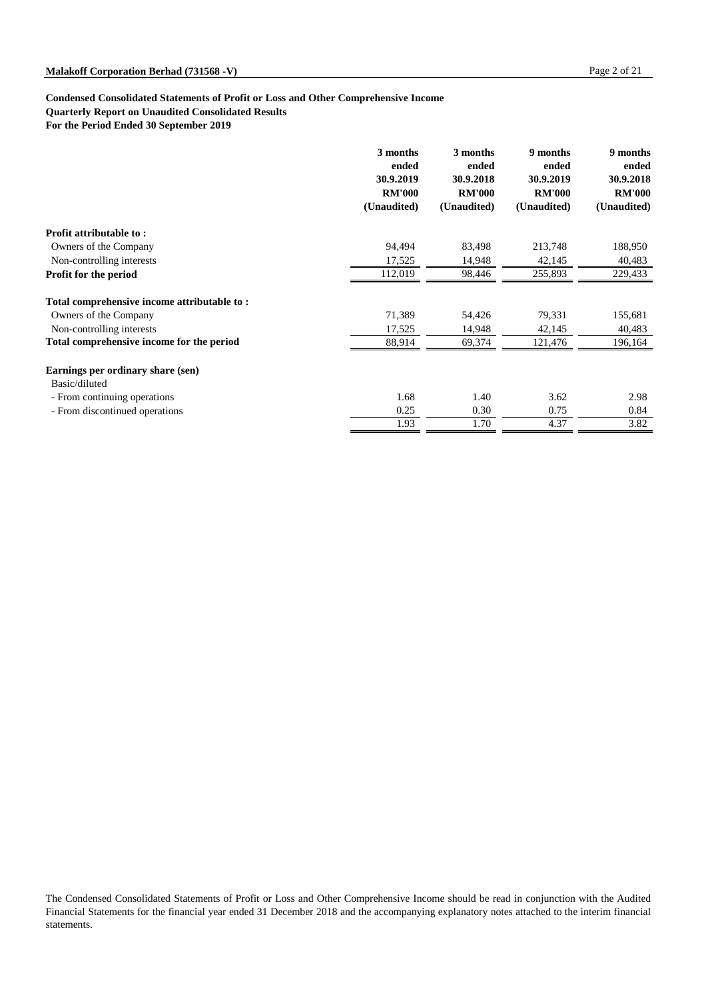**Quarterly Report on Unaudited Consolidated Results**

**For the Period Ended 30 September 2019**

|                                             | 3 months<br>ended<br>30.9.2019<br><b>RM'000</b><br>(Unaudited) | 3 months<br>ended<br>30.9.2018<br><b>RM'000</b><br>(Unaudited) | 9 months<br>ended<br>30.9.2019<br><b>RM'000</b><br>(Unaudited) | 9 months<br>ended<br>30.9.2018<br><b>RM'000</b><br>(Unaudited) |
|---------------------------------------------|----------------------------------------------------------------|----------------------------------------------------------------|----------------------------------------------------------------|----------------------------------------------------------------|
| <b>Profit attributable to:</b>              |                                                                |                                                                |                                                                |                                                                |
| Owners of the Company                       | 94,494                                                         | 83,498                                                         | 213,748                                                        | 188,950                                                        |
| Non-controlling interests                   | 17,525                                                         | 14,948                                                         | 42,145                                                         | 40,483                                                         |
| <b>Profit for the period</b>                | 112,019                                                        | 98,446                                                         | 255,893                                                        | 229,433                                                        |
| Total comprehensive income attributable to: |                                                                |                                                                |                                                                |                                                                |
| Owners of the Company                       | 71,389                                                         | 54,426                                                         | 79,331                                                         | 155,681                                                        |
| Non-controlling interests                   | 17,525                                                         | 14,948                                                         | 42,145                                                         | 40,483                                                         |
| Total comprehensive income for the period   | 88,914                                                         | 69,374                                                         | 121,476                                                        | 196,164                                                        |
| Earnings per ordinary share (sen)           |                                                                |                                                                |                                                                |                                                                |
| Basic/diluted                               |                                                                |                                                                |                                                                |                                                                |
| - From continuing operations                | 1.68                                                           | 1.40                                                           | 3.62                                                           | 2.98                                                           |
| - From discontinued operations              | 0.25                                                           | 0.30                                                           | 0.75                                                           | 0.84                                                           |
|                                             | 1.93                                                           | 1.70                                                           | 4.37                                                           | 3.82                                                           |

The Condensed Consolidated Statements of Profit or Loss and Other Comprehensive Income should be read in conjunction with the Audited Financial Statements for the financial year ended 31 December 2018 and the accompanying explanatory notes attached to the interim financial statements.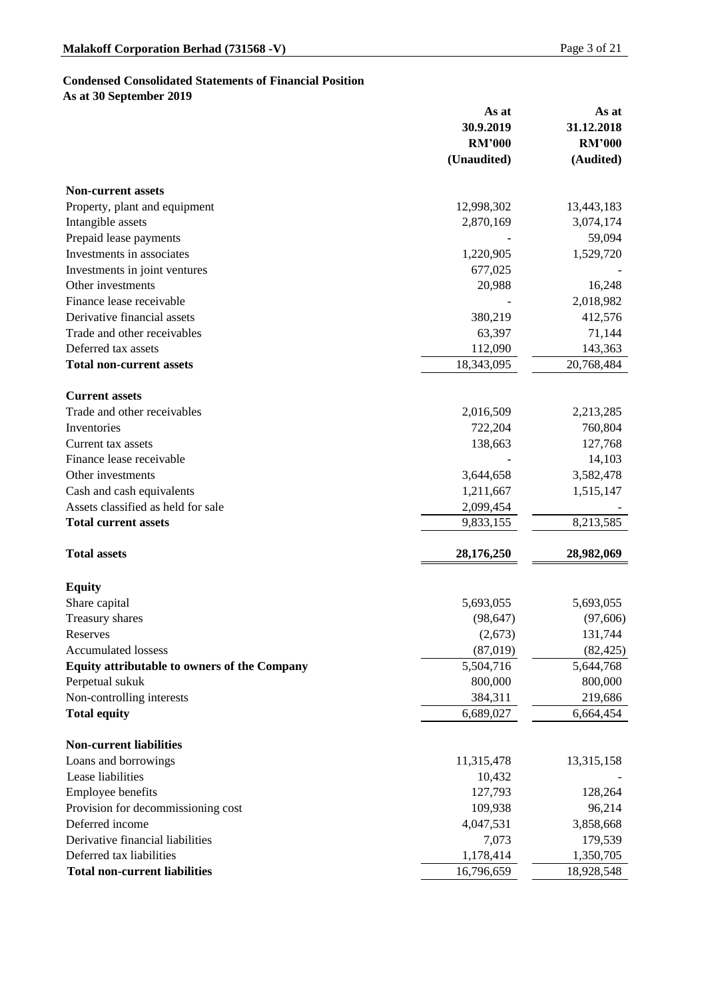## **Condensed Consolidated Statements of Financial Position**

**As at 30 September 2019**

|                                                     | As at         | As at         |
|-----------------------------------------------------|---------------|---------------|
|                                                     | 30.9.2019     | 31.12.2018    |
|                                                     | <b>RM'000</b> | <b>RM'000</b> |
|                                                     | (Unaudited)   | (Audited)     |
| <b>Non-current assets</b>                           |               |               |
| Property, plant and equipment                       | 12,998,302    | 13,443,183    |
| Intangible assets                                   | 2,870,169     | 3,074,174     |
| Prepaid lease payments                              |               | 59,094        |
| Investments in associates                           | 1,220,905     | 1,529,720     |
| Investments in joint ventures                       | 677,025       |               |
| Other investments                                   | 20,988        | 16,248        |
| Finance lease receivable                            |               | 2,018,982     |
| Derivative financial assets                         | 380,219       | 412,576       |
| Trade and other receivables                         | 63,397        | 71,144        |
| Deferred tax assets                                 | 112,090       | 143,363       |
| <b>Total non-current assets</b>                     | 18,343,095    | 20,768,484    |
| <b>Current assets</b>                               |               |               |
| Trade and other receivables                         | 2,016,509     | 2,213,285     |
| Inventories                                         | 722,204       | 760,804       |
| Current tax assets                                  | 138,663       | 127,768       |
| Finance lease receivable                            |               | 14,103        |
| Other investments                                   | 3,644,658     | 3,582,478     |
| Cash and cash equivalents                           | 1,211,667     | 1,515,147     |
| Assets classified as held for sale                  | 2,099,454     |               |
| <b>Total current assets</b>                         | 9,833,155     | 8,213,585     |
| <b>Total assets</b>                                 | 28,176,250    | 28,982,069    |
| <b>Equity</b>                                       |               |               |
| Share capital                                       | 5,693,055     | 5,693,055     |
| <b>Treasury shares</b>                              | (98, 647)     | (97,606)      |
| Reserves                                            | (2,673)       | 131,744       |
| <b>Accumulated lossess</b>                          | (87,019)      | (82, 425)     |
| <b>Equity attributable to owners of the Company</b> | 5,504,716     | 5,644,768     |
| Perpetual sukuk                                     | 800,000       | 800,000       |
| Non-controlling interests                           | 384,311       | 219,686       |
| <b>Total equity</b>                                 | 6,689,027     | 6,664,454     |
| <b>Non-current liabilities</b>                      |               |               |
| Loans and borrowings                                | 11,315,478    | 13,315,158    |
| Lease liabilities                                   | 10,432        |               |

| <b>Employee benefits</b>             | 127,793    | 128,264    |
|--------------------------------------|------------|------------|
| Provision for decommissioning cost   | 109,938    | 96,214     |
| Deferred income                      | 4,047,531  | 3,858,668  |
| Derivative financial liabilities     | 7.073      | 179,539    |
| Deferred tax liabilities             | 1,178,414  | 1,350,705  |
| <b>Total non-current liabilities</b> | 16,796,659 | 18,928,548 |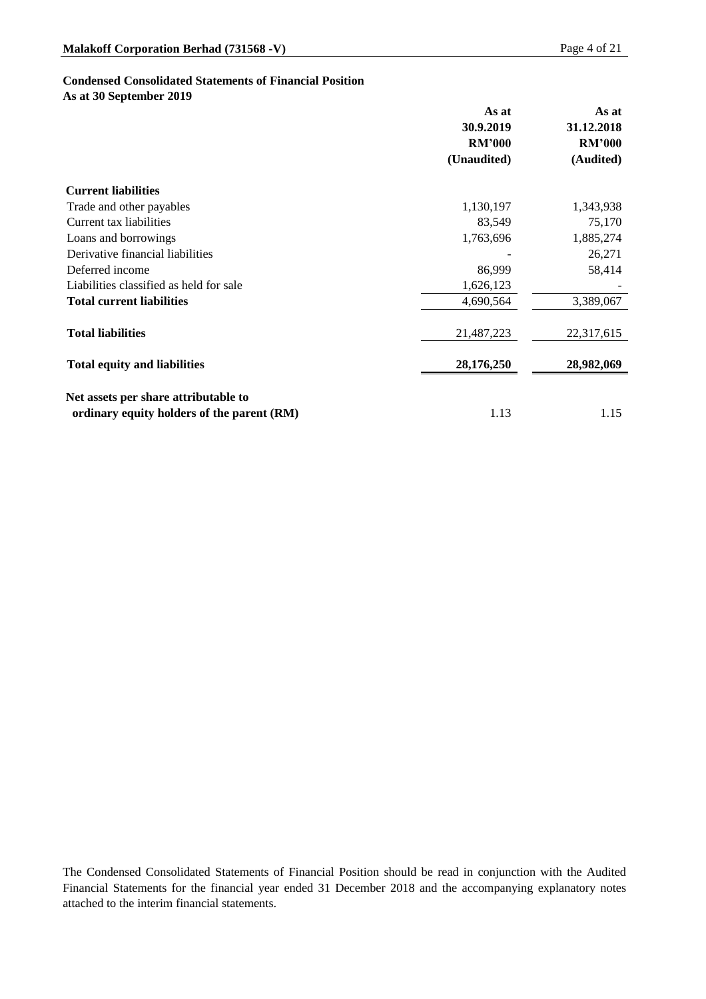### **Condensed Consolidated Statements of Financial Position**

**As at 30 September 2019**

|                                            | As at<br>30.9.2019<br><b>RM'000</b> | As at<br>31.12.2018<br><b>RM'000</b> |
|--------------------------------------------|-------------------------------------|--------------------------------------|
|                                            | (Unaudited)                         | (Audited)                            |
| <b>Current liabilities</b>                 |                                     |                                      |
| Trade and other payables                   | 1,130,197                           | 1,343,938                            |
| <b>Current tax liabilities</b>             | 83,549                              | 75,170                               |
| Loans and borrowings                       | 1,763,696                           | 1,885,274                            |
| Derivative financial liabilities           |                                     | 26,271                               |
| Deferred income                            | 86,999                              | 58,414                               |
| Liabilities classified as held for sale    | 1,626,123                           |                                      |
| <b>Total current liabilities</b>           | 4,690,564                           | 3,389,067                            |
| <b>Total liabilities</b>                   | 21,487,223                          | 22,317,615                           |
| <b>Total equity and liabilities</b>        | 28,176,250                          | 28,982,069                           |
| Net assets per share attributable to       |                                     |                                      |
| ordinary equity holders of the parent (RM) | 1.13                                | 1.15                                 |

The Condensed Consolidated Statements of Financial Position should be read in conjunction with the Audited Financial Statements for the financial year ended 31 December 2018 and the accompanying explanatory notes attached to the interim financial statements.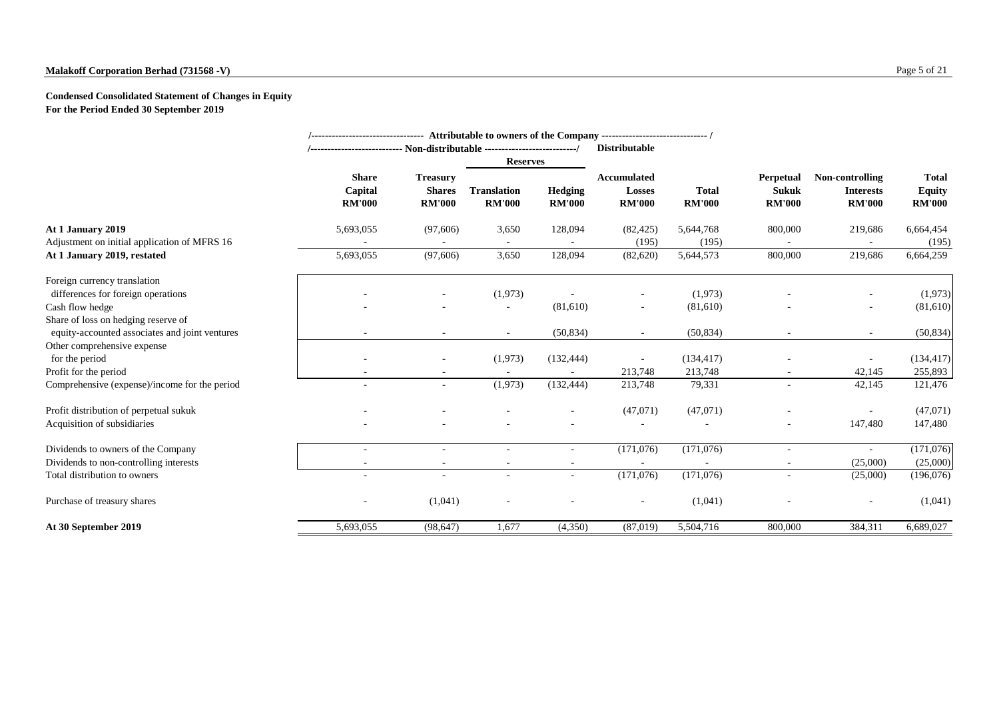# **Malakoff Corporation Berhad (731568 -V)** Page 5 of 21

# **Condensed Consolidated Statement of Changes in Equity For the Period Ended 30 September 2019**

|                                                |                                          | '-------------------------------- Attributable to owners of the Company ------------------------------- / |                                     |                                 |                                                      |                               |                                                   |                                                      |                                                |
|------------------------------------------------|------------------------------------------|-----------------------------------------------------------------------------------------------------------|-------------------------------------|---------------------------------|------------------------------------------------------|-------------------------------|---------------------------------------------------|------------------------------------------------------|------------------------------------------------|
|                                                |                                          | <b>Distributable</b>                                                                                      |                                     |                                 |                                                      |                               |                                                   |                                                      |                                                |
|                                                |                                          |                                                                                                           | <b>Reserves</b>                     |                                 |                                                      |                               |                                                   |                                                      |                                                |
|                                                | <b>Share</b><br>Capital<br><b>RM'000</b> | <b>Treasury</b><br><b>Shares</b><br><b>RM'000</b>                                                         | <b>Translation</b><br><b>RM'000</b> | <b>Hedging</b><br><b>RM'000</b> | <b>Accumulated</b><br><b>Losses</b><br><b>RM'000</b> | <b>Total</b><br><b>RM'000</b> | <b>Perpetual</b><br><b>Sukuk</b><br><b>RM'000</b> | Non-controlling<br><b>Interests</b><br><b>RM'000</b> | <b>Total</b><br><b>Equity</b><br><b>RM'000</b> |
| At 1 January 2019                              | 5,693,055                                | (97,606)                                                                                                  | 3,650                               | 128,094                         | (82, 425)                                            | 5,644,768                     | 800,000                                           | 219,686                                              | 6,664,454                                      |
| Adjustment on initial application of MFRS 16   |                                          |                                                                                                           | $\sim$                              |                                 | (195)                                                | (195)                         |                                                   |                                                      | (195)                                          |
| At 1 January 2019, restated                    | 5,693,055                                | (97,606)                                                                                                  | 3,650                               | 128,094                         | (82,620)                                             | 5,644,573                     | 800,000                                           | 219,686                                              | 6,664,259                                      |
| Foreign currency translation                   |                                          |                                                                                                           |                                     |                                 |                                                      |                               |                                                   |                                                      |                                                |
| differences for foreign operations             |                                          |                                                                                                           | (1,973)                             |                                 |                                                      | (1,973)                       |                                                   |                                                      | (1,973)                                        |
| Cash flow hedge                                |                                          |                                                                                                           |                                     | (81,610)                        | $\sim$                                               | (81,610)                      |                                                   | $\sim$                                               | (81,610)                                       |
| Share of loss on hedging reserve of            |                                          |                                                                                                           |                                     |                                 |                                                      |                               |                                                   |                                                      |                                                |
| equity-accounted associates and joint ventures | $\overline{\phantom{a}}$                 |                                                                                                           | $\sim$                              | (50, 834)                       | $\sim$                                               | (50, 834)                     |                                                   | $\sim$                                               | (50, 834)                                      |
| Other comprehensive expense                    |                                          |                                                                                                           |                                     |                                 |                                                      |                               |                                                   |                                                      |                                                |
| for the period                                 |                                          | $\overline{\phantom{a}}$                                                                                  | (1,973)                             | (132, 444)                      |                                                      | (134, 417)                    |                                                   |                                                      | (134, 417)                                     |
| Profit for the period                          |                                          |                                                                                                           |                                     |                                 | 213,748                                              | 213,748                       |                                                   | 42,145                                               | 255,893                                        |
| Comprehensive (expense)/income for the period  | $\overline{\phantom{a}}$                 | $\sim$                                                                                                    | (1,973)                             | (132, 444)                      | 213,748                                              | 79,331                        | $\sim$                                            | 42,145                                               | 121,476                                        |
| Profit distribution of perpetual sukuk         | $\overline{\phantom{a}}$                 |                                                                                                           | $\overline{\phantom{a}}$            | $\sim$                          | (47,071)                                             | (47,071)                      |                                                   | $\sim$                                               | (47,071)                                       |
| Acquisition of subsidiaries                    | $\overline{\phantom{a}}$                 |                                                                                                           |                                     |                                 |                                                      |                               | $\sim$                                            | 147,480                                              | 147,480                                        |
| Dividends to owners of the Company             |                                          |                                                                                                           |                                     | $\sim$                          | (171,076)                                            | (171,076)                     |                                                   | $\sim$                                               | (171,076)                                      |
| Dividends to non-controlling interests         | $\overline{\phantom{a}}$                 |                                                                                                           | $\overline{\phantom{a}}$            | $\overline{\phantom{a}}$        | $\sim$                                               |                               | $\sim$                                            | (25,000)                                             | (25,000)                                       |
| Total distribution to owners                   | $\overline{\phantom{a}}$                 | $\sim$                                                                                                    | $\overline{\phantom{a}}$            | $\overline{\phantom{a}}$        | (171,076)                                            | (171, 076)                    |                                                   | (25,000)                                             | (196,076)                                      |
| Purchase of treasury shares                    | -                                        | (1,041)                                                                                                   | $\overline{\phantom{a}}$            |                                 | $\sim$                                               | (1,041)                       |                                                   | $\overline{\phantom{a}}$                             | (1,041)                                        |
| At 30 September 2019                           | 5,693,055                                | (98, 647)                                                                                                 | 1,677                               | (4,350)                         | (87,019)                                             | 5,504,716                     | 800,000                                           | 384,311                                              | 6,689,027                                      |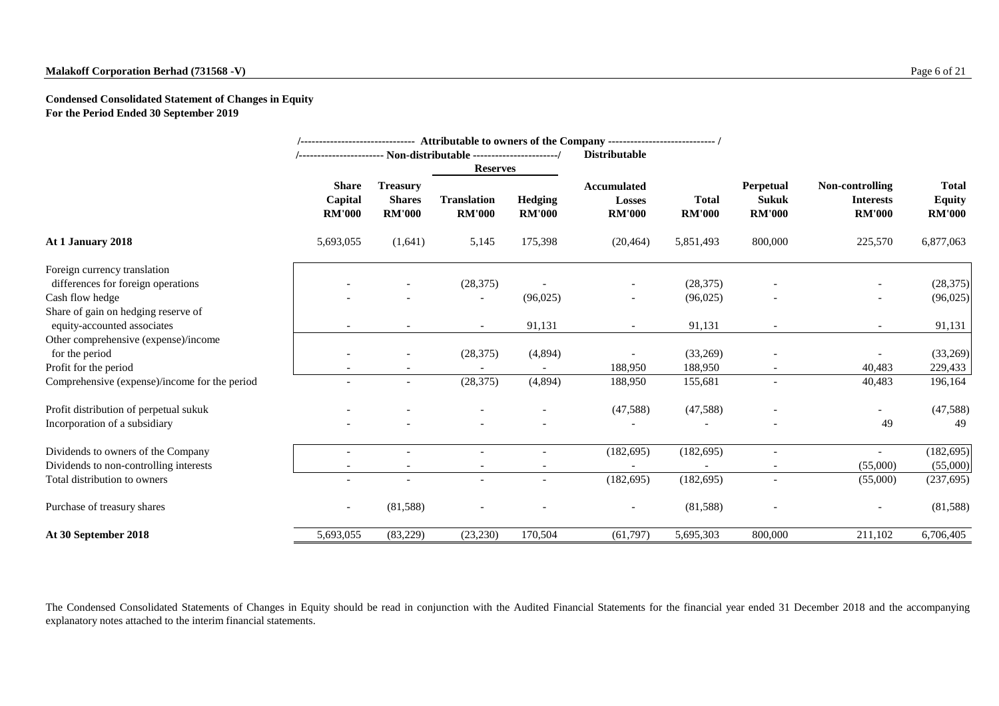# **Malakoff Corporation Berhad (731568 -V)** Page 6 of 21

**Condensed Consolidated Statement of Changes in Equity For the Period Ended 30 September 2019**

|                                               |                                          |                                                   |                                     |                                 | /------------------------------ Attributable to owners of the Company ---------------------------- / |                               |                                                   |                                                      |                                                |
|-----------------------------------------------|------------------------------------------|---------------------------------------------------|-------------------------------------|---------------------------------|------------------------------------------------------------------------------------------------------|-------------------------------|---------------------------------------------------|------------------------------------------------------|------------------------------------------------|
|                                               |                                          | <b>Reserves</b>                                   |                                     |                                 | <b>Distributable</b>                                                                                 |                               |                                                   |                                                      |                                                |
|                                               | <b>Share</b><br>Capital<br><b>RM'000</b> | <b>Treasury</b><br><b>Shares</b><br><b>RM'000</b> | <b>Translation</b><br><b>RM'000</b> | <b>Hedging</b><br><b>RM'000</b> | <b>Accumulated</b><br><b>Losses</b><br><b>RM'000</b>                                                 | <b>Total</b><br><b>RM'000</b> | <b>Perpetual</b><br><b>Sukuk</b><br><b>RM'000</b> | Non-controlling<br><b>Interests</b><br><b>RM'000</b> | <b>Total</b><br><b>Equity</b><br><b>RM'000</b> |
| At 1 January 2018                             | 5,693,055                                | (1,641)                                           | 5,145                               | 175,398                         | (20, 464)                                                                                            | 5,851,493                     | 800,000                                           | 225,570                                              | 6,877,063                                      |
| Foreign currency translation                  |                                          |                                                   |                                     |                                 |                                                                                                      |                               |                                                   |                                                      |                                                |
| differences for foreign operations            |                                          |                                                   | (28, 375)                           |                                 | $\overline{\phantom{a}}$                                                                             | (28, 375)                     |                                                   | $\overline{\phantom{a}}$                             | (28, 375)                                      |
| Cash flow hedge                               |                                          |                                                   |                                     | (96,025)                        |                                                                                                      | (96,025)                      |                                                   | $\overline{\phantom{a}}$                             | (96,025)                                       |
| Share of gain on hedging reserve of           |                                          |                                                   |                                     |                                 |                                                                                                      |                               |                                                   |                                                      |                                                |
| equity-accounted associates                   |                                          |                                                   | $\sim$                              | 91,131                          |                                                                                                      | 91,131                        |                                                   | $\overline{\phantom{a}}$                             | 91,131                                         |
| Other comprehensive (expense)/income          |                                          |                                                   |                                     |                                 |                                                                                                      |                               |                                                   |                                                      |                                                |
| for the period                                |                                          |                                                   | (28, 375)                           | (4,894)                         |                                                                                                      | (33,269)                      |                                                   | -                                                    | (33,269)                                       |
| Profit for the period                         |                                          |                                                   |                                     |                                 | 188,950                                                                                              | 188,950                       |                                                   | 40,483                                               | 229,433                                        |
| Comprehensive (expense)/income for the period |                                          | $\overline{\phantom{a}}$                          | (28, 375)                           | (4,894)                         | 188,950                                                                                              | 155,681                       | $\overline{\phantom{a}}$                          | 40,483                                               | 196,164                                        |
| Profit distribution of perpetual sukuk        |                                          |                                                   |                                     | $\sim$                          | (47,588)                                                                                             | (47,588)                      | $\blacksquare$                                    | $\overline{\phantom{a}}$                             | (47,588)                                       |
| Incorporation of a subsidiary                 |                                          |                                                   |                                     |                                 |                                                                                                      |                               |                                                   | 49                                                   | 49                                             |
| Dividends to owners of the Company            |                                          |                                                   |                                     |                                 | (182, 695)                                                                                           | (182, 695)                    | $\overline{\phantom{a}}$                          | $\overline{\phantom{a}}$                             | (182, 695)                                     |
| Dividends to non-controlling interests        |                                          |                                                   |                                     |                                 |                                                                                                      |                               |                                                   | (55,000)                                             | (55,000)                                       |
| Total distribution to owners                  | $\overline{\phantom{a}}$                 |                                                   | $\sim$                              | $\sim$                          | (182, 695)                                                                                           | (182, 695)                    | $\sim$                                            | (55,000)                                             | (237, 695)                                     |
| Purchase of treasury shares                   | $\overline{\phantom{a}}$                 | (81,588)                                          |                                     |                                 |                                                                                                      | (81,588)                      |                                                   |                                                      | (81,588)                                       |
| At 30 September 2018                          | 5,693,055                                | (83,229)                                          | (23, 230)                           | 170,504                         | (61, 797)                                                                                            | 5,695,303                     | 800,000                                           | 211,102                                              | 6,706,405                                      |

The Condensed Consolidated Statements of Changes in Equity should be read in conjunction with the Audited Financial Statements for the financial year ended 31 December 2018 and the accompanying explanatory notes attached to the interim financial statements.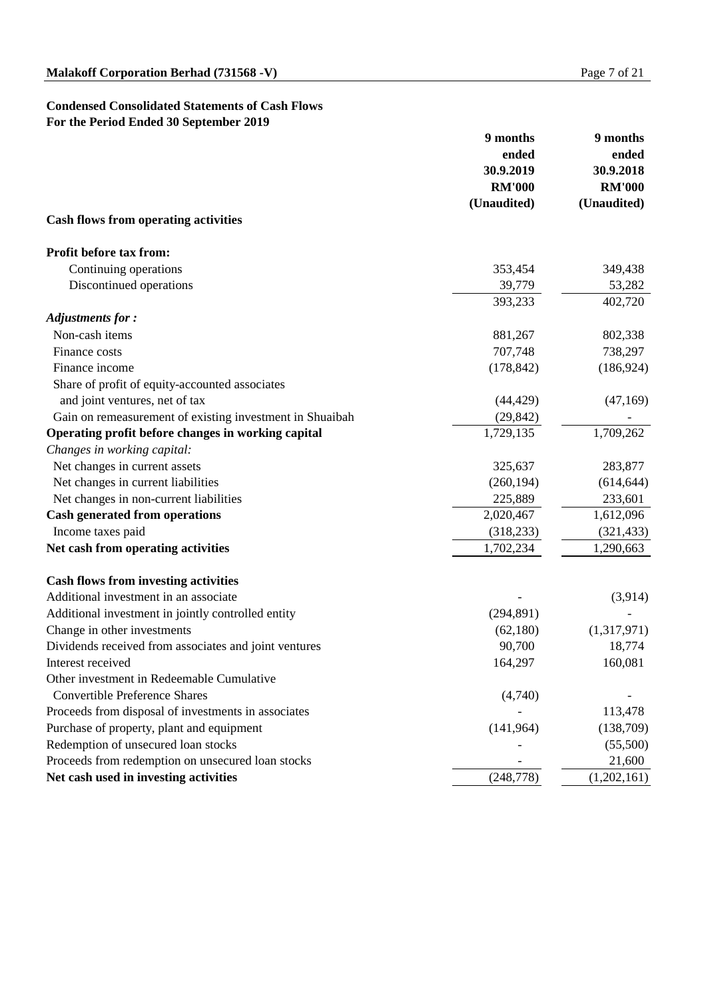# **Condensed Consolidated Statements of Cash Flows For the Period Ended 30 September 2019**

|                                                          | 9 months      | 9 months      |  |
|----------------------------------------------------------|---------------|---------------|--|
|                                                          | ended         | ended         |  |
|                                                          | 30.9.2019     | 30.9.2018     |  |
|                                                          | <b>RM'000</b> | <b>RM'000</b> |  |
|                                                          | (Unaudited)   | (Unaudited)   |  |
| <b>Cash flows from operating activities</b>              |               |               |  |
| <b>Profit before tax from:</b>                           |               |               |  |
| Continuing operations                                    | 353,454       | 349,438       |  |
| Discontinued operations                                  | 39,779        | 53,282        |  |
|                                                          | 393,233       | 402,720       |  |
| <b>Adjustments for:</b>                                  |               |               |  |
| Non-cash items                                           | 881,267       | 802,338       |  |
| Finance costs                                            | 707,748       | 738,297       |  |
| Finance income                                           | (178, 842)    | (186, 924)    |  |
| Share of profit of equity-accounted associates           |               |               |  |
| and joint ventures, net of tax                           | (44, 429)     | (47,169)      |  |
| Gain on remeasurement of existing investment in Shuaibah | (29, 842)     |               |  |
| Operating profit before changes in working capital       | 1,729,135     | 1,709,262     |  |
| Changes in working capital:                              |               |               |  |
| Net changes in current assets                            | 325,637       | 283,877       |  |
| Net changes in current liabilities                       | (260, 194)    | (614, 644)    |  |
| Net changes in non-current liabilities                   | 225,889       | 233,601       |  |
| <b>Cash generated from operations</b>                    | 2,020,467     | 1,612,096     |  |
| Income taxes paid                                        | (318, 233)    | (321, 433)    |  |
| Net cash from operating activities                       | 1,702,234     | 1,290,663     |  |
| <b>Cash flows from investing activities</b>              |               |               |  |
| Additional investment in an associate                    |               | (3,914)       |  |
| Additional investment in jointly controlled entity       | (294, 891)    |               |  |
| Change in other investments                              | (62,180)      | (1,317,971)   |  |
| Dividends received from associates and joint ventures    | 90,700        | 18,774        |  |
| Interest received                                        | 164,297       | 160,081       |  |
| Other investment in Redeemable Cumulative                |               |               |  |
| <b>Convertible Preference Shares</b>                     | (4,740)       |               |  |
| Proceeds from disposal of investments in associates      |               | 113,478       |  |
| Purchase of property, plant and equipment                | (141, 964)    | (138,709)     |  |
| Redemption of unsecured loan stocks                      |               | (55,500)      |  |
| Proceeds from redemption on unsecured loan stocks        |               | 21,600        |  |
| Net cash used in investing activities                    | (248, 778)    | (1,202,161)   |  |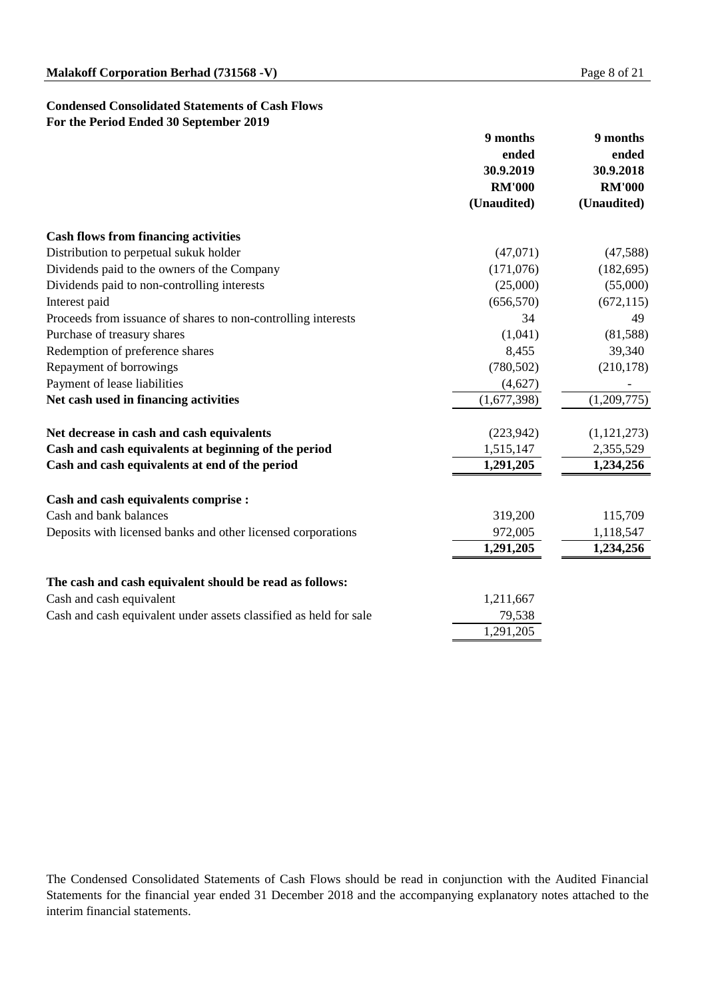### **Condensed Consolidated Statements of Cash Flows For the Period Ended 30 September 2019**

|                                                                   | 9 months      | 9 months      |
|-------------------------------------------------------------------|---------------|---------------|
|                                                                   | ended         | ended         |
|                                                                   | 30.9.2019     | 30.9.2018     |
|                                                                   | <b>RM'000</b> | <b>RM'000</b> |
|                                                                   | (Unaudited)   | (Unaudited)   |
| <b>Cash flows from financing activities</b>                       |               |               |
| Distribution to perpetual sukuk holder                            | (47,071)      | (47,588)      |
| Dividends paid to the owners of the Company                       | (171,076)     | (182, 695)    |
| Dividends paid to non-controlling interests                       | (25,000)      | (55,000)      |
| Interest paid                                                     | (656, 570)    | (672, 115)    |
| Proceeds from issuance of shares to non-controlling interests     | 34            | 49            |
| Purchase of treasury shares                                       | (1,041)       | (81,588)      |
| Redemption of preference shares                                   | 8,455         | 39,340        |
| Repayment of borrowings                                           | (780, 502)    | (210, 178)    |
| Payment of lease liabilities                                      | (4,627)       |               |
| Net cash used in financing activities                             | (1,677,398)   | (1,209,775)   |
| Net decrease in cash and cash equivalents                         | (223, 942)    | (1, 121, 273) |
| Cash and cash equivalents at beginning of the period              | 1,515,147     | 2,355,529     |
| Cash and cash equivalents at end of the period                    | 1,291,205     | 1,234,256     |
| <b>Cash and cash equivalents comprise :</b>                       |               |               |
| Cash and bank balances                                            | 319,200       | 115,709       |
| Deposits with licensed banks and other licensed corporations      | 972,005       | 1,118,547     |
|                                                                   | 1,291,205     | 1,234,256     |
| The cash and cash equivalent should be read as follows:           |               |               |
| Cash and cash equivalent                                          | 1,211,667     |               |
| Cash and cash equivalent under assets classified as held for sale | 79,538        |               |
|                                                                   | 1,291,205     |               |

The Condensed Consolidated Statements of Cash Flows should be read in conjunction with the Audited Financial Statements for the financial year ended 31 December 2018 and the accompanying explanatory notes attached to the interim financial statements.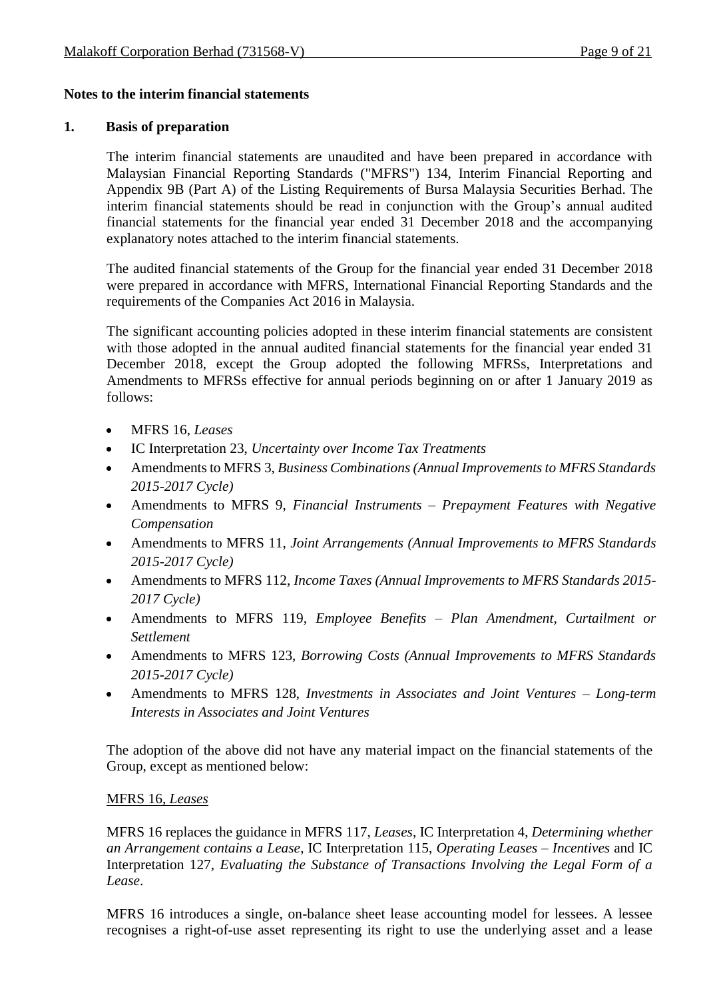#### **Notes to the interim financial statements**

#### **1. Basis of preparation**

The interim financial statements are unaudited and have been prepared in accordance with Malaysian Financial Reporting Standards ("MFRS") 134, Interim Financial Reporting and Appendix 9B (Part A) of the Listing Requirements of Bursa Malaysia Securities Berhad. The interim financial statements should be read in conjunction with the Group's annual audited financial statements for the financial year ended 31 December 2018 and the accompanying explanatory notes attached to the interim financial statements.

The audited financial statements of the Group for the financial year ended 31 December 2018 were prepared in accordance with MFRS, International Financial Reporting Standards and the requirements of the Companies Act 2016 in Malaysia.

The significant accounting policies adopted in these interim financial statements are consistent with those adopted in the annual audited financial statements for the financial year ended 31 December 2018, except the Group adopted the following MFRSs, Interpretations and Amendments to MFRSs effective for annual periods beginning on or after 1 January 2019 as follows:

- MFRS 16, *Leases*
- IC Interpretation 23, *Uncertainty over Income Tax Treatments*
- Amendments to MFRS 3, *Business Combinations (Annual Improvements to MFRS Standards 2015-2017 Cycle)*
- Amendments to MFRS 9, *Financial Instruments – Prepayment Features with Negative Compensation*
- Amendments to MFRS 11, *Joint Arrangements (Annual Improvements to MFRS Standards 2015-2017 Cycle)*
- Amendments to MFRS 112, *Income Taxes (Annual Improvements to MFRS Standards 2015- 2017 Cycle)*
- Amendments to MFRS 119, *Employee Benefits – Plan Amendment, Curtailment or Settlement*
- Amendments to MFRS 123, *Borrowing Costs (Annual Improvements to MFRS Standards 2015-2017 Cycle)*
- Amendments to MFRS 128, *Investments in Associates and Joint Ventures – Long-term Interests in Associates and Joint Ventures*

The adoption of the above did not have any material impact on the financial statements of the Group, except as mentioned below:

#### MFRS 16, *Leases*

MFRS 16 replaces the guidance in MFRS 117, *Leases*, IC Interpretation 4, *Determining whether an Arrangement contains a Lease*, IC Interpretation 115, *Operating Leases – Incentives* and IC Interpretation 127, *Evaluating the Substance of Transactions Involving the Legal Form of a Lease*.

MFRS 16 introduces a single, on-balance sheet lease accounting model for lessees. A lessee recognises a right-of-use asset representing its right to use the underlying asset and a lease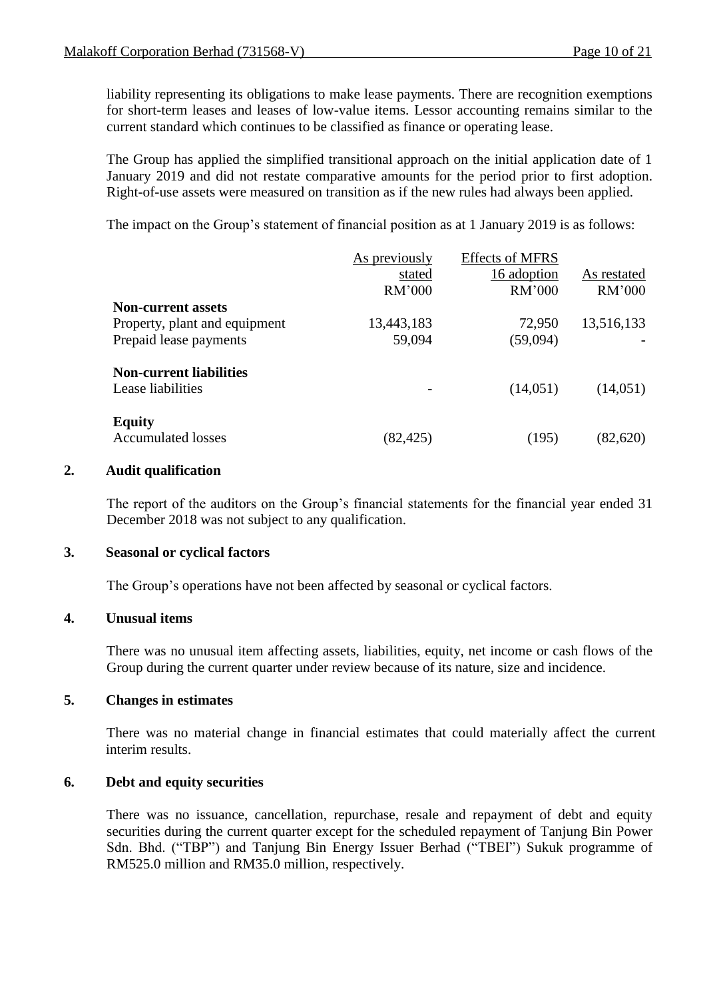liability representing its obligations to make lease payments. There are recognition exemptions for short-term leases and leases of low-value items. Lessor accounting remains similar to the current standard which continues to be classified as finance or operating lease.

The Group has applied the simplified transitional approach on the initial application date of 1 January 2019 and did not restate comparative amounts for the period prior to first adoption. Right-of-use assets were measured on transition as if the new rules had always been applied.

The impact on the Group's statement of financial position as at 1 January 2019 is as follows:

|                                | As previously | <b>Effects of MFRS</b> |             |
|--------------------------------|---------------|------------------------|-------------|
|                                | stated        | 16 adoption            | As restated |
|                                | RM'000        | RM'000                 | RM'000      |
| <b>Non-current assets</b>      |               |                        |             |
| Property, plant and equipment  | 13,443,183    | 72,950                 | 13,516,133  |
| Prepaid lease payments         | 59,094        | (59,094)               |             |
| <b>Non-current liabilities</b> |               |                        |             |
| Lease liabilities              |               | (14,051)               | (14,051)    |
| <b>Equity</b>                  |               |                        |             |
| <b>Accumulated losses</b>      | (82, 425)     | (195)                  | (82,620)    |

#### **2. Audit qualification**

The report of the auditors on the Group's financial statements for the financial year ended 31 December 2018 was not subject to any qualification.

#### **3. Seasonal or cyclical factors**

The Group's operations have not been affected by seasonal or cyclical factors.

#### **4. Unusual items**

There was no unusual item affecting assets, liabilities, equity, net income or cash flows of the Group during the current quarter under review because of its nature, size and incidence.

#### **5. Changes in estimates**

There was no material change in financial estimates that could materially affect the current interim results.

#### **6. Debt and equity securities**

There was no issuance, cancellation, repurchase, resale and repayment of debt and equity securities during the current quarter except for the scheduled repayment of Tanjung Bin Power Sdn. Bhd. ("TBP") and Tanjung Bin Energy Issuer Berhad ("TBEI") Sukuk programme of RM525.0 million and RM35.0 million, respectively.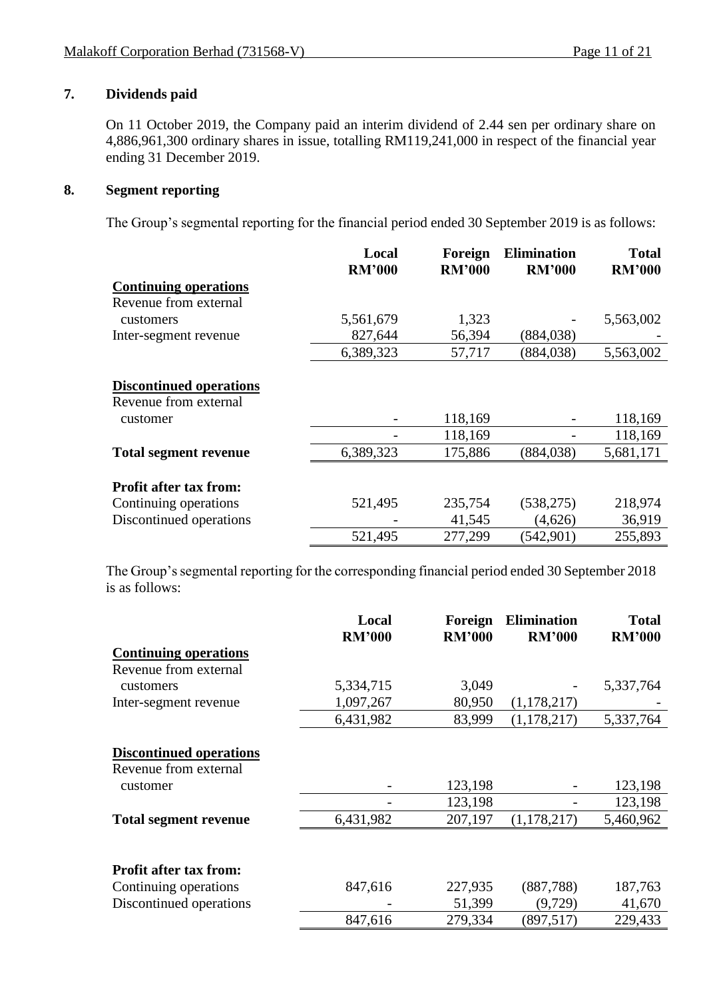#### **7. Dividends paid**

On 11 October 2019, the Company paid an interim dividend of 2.44 sen per ordinary share on 4,886,961,300 ordinary shares in issue, totalling RM119,241,000 in respect of the financial year ending 31 December 2019.

#### **8. Segment reporting**

The Group's segmental reporting for the financial period ended 30 September 2019 is as follows:

|                                | Local         | Foreign       | <b>Elimination</b> | <b>Total</b>  |
|--------------------------------|---------------|---------------|--------------------|---------------|
|                                | <b>RM'000</b> | <b>RM'000</b> | <b>RM'000</b>      | <b>RM'000</b> |
| <b>Continuing operations</b>   |               |               |                    |               |
| Revenue from external          |               |               |                    |               |
| customers                      | 5,561,679     | 1,323         |                    | 5,563,002     |
| Inter-segment revenue          | 827,644       | 56,394        | (884, 038)         |               |
|                                | 6,389,323     | 57,717        | (884, 038)         | 5,563,002     |
|                                |               |               |                    |               |
| <b>Discontinued operations</b> |               |               |                    |               |
| Revenue from external          |               |               |                    |               |
| customer                       |               | 118,169       |                    | 118,169       |
|                                |               | 118,169       |                    | 118,169       |
| <b>Total segment revenue</b>   | 6,389,323     | 175,886       | (884, 038)         | 5,681,171     |
|                                |               |               |                    |               |
| <b>Profit after tax from:</b>  |               |               |                    |               |
| Continuing operations          | 521,495       | 235,754       | (538, 275)         | 218,974       |
| Discontinued operations        |               | 41,545        | (4,626)            | 36,919        |
|                                | 521,495       | 277,299       | (542,901)          | 255,893       |

The Group's segmental reporting for the corresponding financial period ended 30 September 2018 is as follows:

|                                | Local<br><b>RM'000</b> | Foreign<br><b>RM'000</b> | <b>Elimination</b><br><b>RM'000</b> | <b>Total</b><br><b>RM'000</b> |
|--------------------------------|------------------------|--------------------------|-------------------------------------|-------------------------------|
| <b>Continuing operations</b>   |                        |                          |                                     |                               |
| Revenue from external          |                        |                          |                                     |                               |
| customers                      | 5,334,715              | 3,049                    |                                     | 5,337,764                     |
| Inter-segment revenue          | 1,097,267              | 80,950                   | (1,178,217)                         |                               |
|                                | 6,431,982              | 83,999                   | (1,178,217)                         | 5,337,764                     |
|                                |                        |                          |                                     |                               |
| <b>Discontinued operations</b> |                        |                          |                                     |                               |
| Revenue from external          |                        |                          |                                     |                               |
| customer                       |                        | 123,198                  |                                     | 123,198                       |
|                                |                        | 123,198                  |                                     | 123,198                       |
| <b>Total segment revenue</b>   | 6,431,982              | 207,197                  | (1,178,217)                         | 5,460,962                     |
|                                |                        |                          |                                     |                               |
| <b>Profit after tax from:</b>  |                        |                          |                                     |                               |
| Continuing operations          | 847,616                | 227,935                  | (887, 788)                          | 187,763                       |
| Discontinued operations        |                        | 51,399                   | (9,729)                             | 41,670                        |
|                                | 847,616                | 279,334                  | (897, 517)                          | 229,433                       |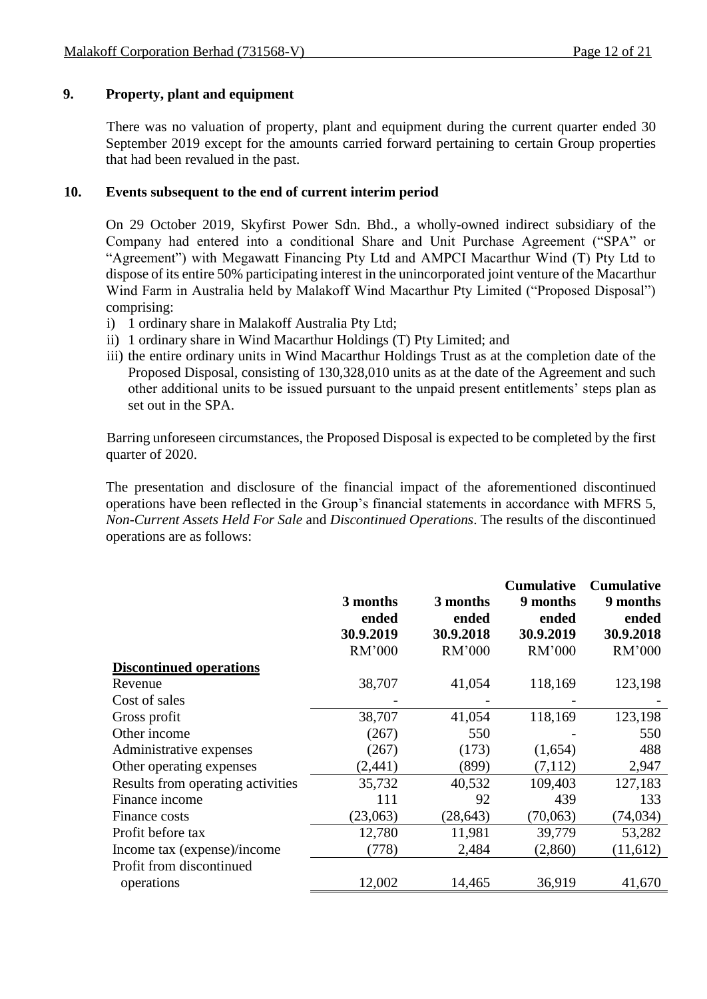#### **9. Property, plant and equipment**

There was no valuation of property, plant and equipment during the current quarter ended 30 September 2019 except for the amounts carried forward pertaining to certain Group properties that had been revalued in the past.

#### **10. Events subsequent to the end of current interim period**

On 29 October 2019, Skyfirst Power Sdn. Bhd., a wholly-owned indirect subsidiary of the Company had entered into a conditional Share and Unit Purchase Agreement ("SPA" or "Agreement") with Megawatt Financing Pty Ltd and AMPCI Macarthur Wind (T) Pty Ltd to dispose of its entire 50% participating interest in the unincorporated joint venture of the Macarthur Wind Farm in Australia held by Malakoff Wind Macarthur Pty Limited ("Proposed Disposal") comprising:

- i) 1 ordinary share in Malakoff Australia Pty Ltd;
- ii) 1 ordinary share in Wind Macarthur Holdings (T) Pty Limited; and
- iii) the entire ordinary units in Wind Macarthur Holdings Trust as at the completion date of the Proposed Disposal, consisting of 130,328,010 units as at the date of the Agreement and such other additional units to be issued pursuant to the unpaid present entitlements' steps plan as set out in the SPA.

Barring unforeseen circumstances, the Proposed Disposal is expected to be completed by the first quarter of 2020.

The presentation and disclosure of the financial impact of the aforementioned discontinued operations have been reflected in the Group's financial statements in accordance with MFRS 5, *Non-Current Assets Held For Sale* and *Discontinued Operations*. The results of the discontinued operations are as follows:

|                                   | 3 months<br>ended<br>30.9.2019 | 3 months<br>ended<br>30.9.2018 | <b>Cumulative</b><br>9 months<br>ended<br>30.9.2019 | <b>Cumulative</b><br>9 months<br>ended<br>30.9.2018 |
|-----------------------------------|--------------------------------|--------------------------------|-----------------------------------------------------|-----------------------------------------------------|
|                                   | RM'000                         | RM'000                         | RM'000                                              | RM'000                                              |
| <b>Discontinued operations</b>    |                                |                                |                                                     |                                                     |
| Revenue                           | 38,707                         | 41,054                         | 118,169                                             | 123,198                                             |
| Cost of sales                     |                                |                                |                                                     |                                                     |
| Gross profit                      | 38,707                         | 41,054                         | 118,169                                             | 123,198                                             |
| Other income                      | (267)                          | 550                            |                                                     | 550                                                 |
| Administrative expenses           | (267)                          | (173)                          | (1,654)                                             | 488                                                 |
| Other operating expenses          | (2, 441)                       | (899)                          | (7,112)                                             | 2,947                                               |
| Results from operating activities | 35,732                         | 40,532                         | 109,403                                             | 127,183                                             |
| Finance income                    | 111                            | 92                             | 439                                                 | 133                                                 |
| Finance costs                     | (23,063)                       | (28, 643)                      | (70,063)                                            | (74,034)                                            |
| Profit before tax                 | 12,780                         | 11,981                         | 39,779                                              | 53,282                                              |
| Income tax (expense)/income       | (778)                          | 2,484                          | (2,860)                                             | (11,612)                                            |
| Profit from discontinued          |                                |                                |                                                     |                                                     |
| operations                        | 12,002                         | 14,465                         | 36,919                                              | 41,670                                              |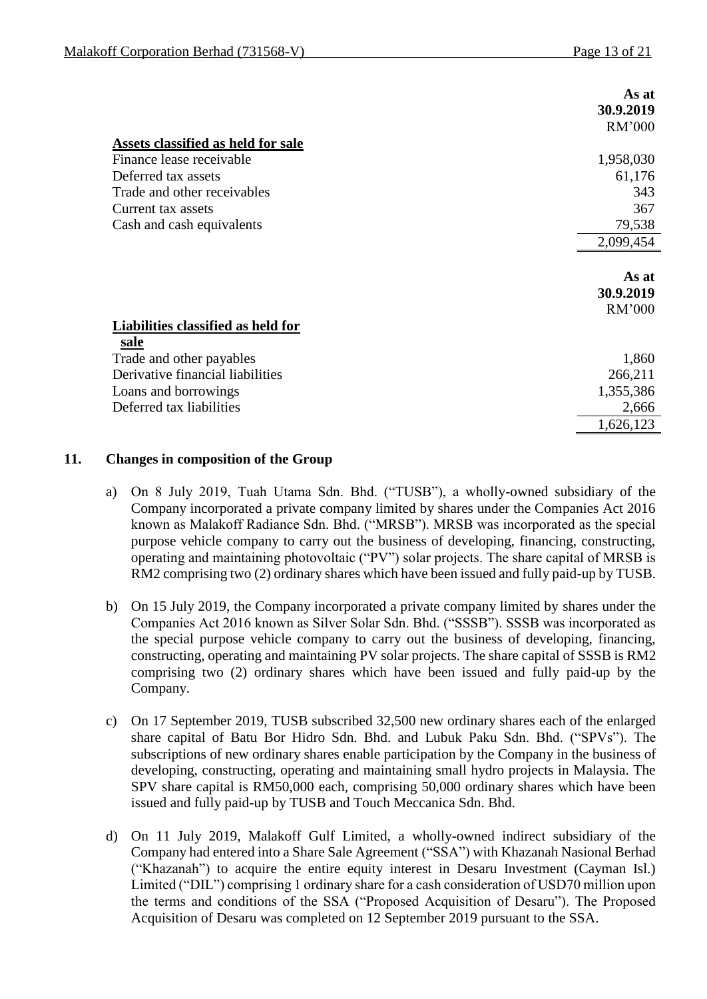|                                           | As at     |
|-------------------------------------------|-----------|
|                                           | 30.9.2019 |
|                                           | RM'000    |
| Assets classified as held for sale        |           |
| Finance lease receivable                  | 1,958,030 |
| Deferred tax assets                       | 61,176    |
| Trade and other receivables               | 343       |
| Current tax assets                        | 367       |
| Cash and cash equivalents                 | 79,538    |
|                                           | 2,099,454 |
|                                           |           |
|                                           | As at     |
|                                           | 30.9.2019 |
|                                           | RM'000    |
| <b>Liabilities classified as held for</b> |           |
| <u>sale</u>                               |           |
| Trade and other payables                  | 1,860     |
| Derivative financial liabilities          | 266,211   |
| Loans and borrowings                      | 1,355,386 |
| Deferred tax liabilities                  | 2,666     |
|                                           |           |

#### **11. Changes in composition of the Group**

- a) On 8 July 2019, Tuah Utama Sdn. Bhd. ("TUSB"), a wholly-owned subsidiary of the Company incorporated a private company limited by shares under the Companies Act 2016 known as Malakoff Radiance Sdn. Bhd. ("MRSB"). MRSB was incorporated as the special purpose vehicle company to carry out the business of developing, financing, constructing, operating and maintaining photovoltaic ("PV") solar projects. The share capital of MRSB is RM2 comprising two (2) ordinary shares which have been issued and fully paid-up by TUSB.
- b) On 15 July 2019, the Company incorporated a private company limited by shares under the Companies Act 2016 known as Silver Solar Sdn. Bhd. ("SSSB"). SSSB was incorporated as the special purpose vehicle company to carry out the business of developing, financing, constructing, operating and maintaining PV solar projects. The share capital of SSSB is RM2 comprising two (2) ordinary shares which have been issued and fully paid-up by the Company.
- c) On 17 September 2019, TUSB subscribed 32,500 new ordinary shares each of the enlarged share capital of Batu Bor Hidro Sdn. Bhd. and Lubuk Paku Sdn. Bhd. ("SPVs"). The subscriptions of new ordinary shares enable participation by the Company in the business of developing, constructing, operating and maintaining small hydro projects in Malaysia. The SPV share capital is RM50,000 each, comprising 50,000 ordinary shares which have been issued and fully paid-up by TUSB and Touch Meccanica Sdn. Bhd.
- d) On 11 July 2019, Malakoff Gulf Limited, a wholly-owned indirect subsidiary of the Company had entered into a Share Sale Agreement ("SSA") with Khazanah Nasional Berhad ("Khazanah") to acquire the entire equity interest in Desaru Investment (Cayman Isl.) Limited ("DIL") comprising 1 ordinary share for a cash consideration of USD70 million upon the terms and conditions of the SSA ("Proposed Acquisition of Desaru"). The Proposed Acquisition of Desaru was completed on 12 September 2019 pursuant to the SSA.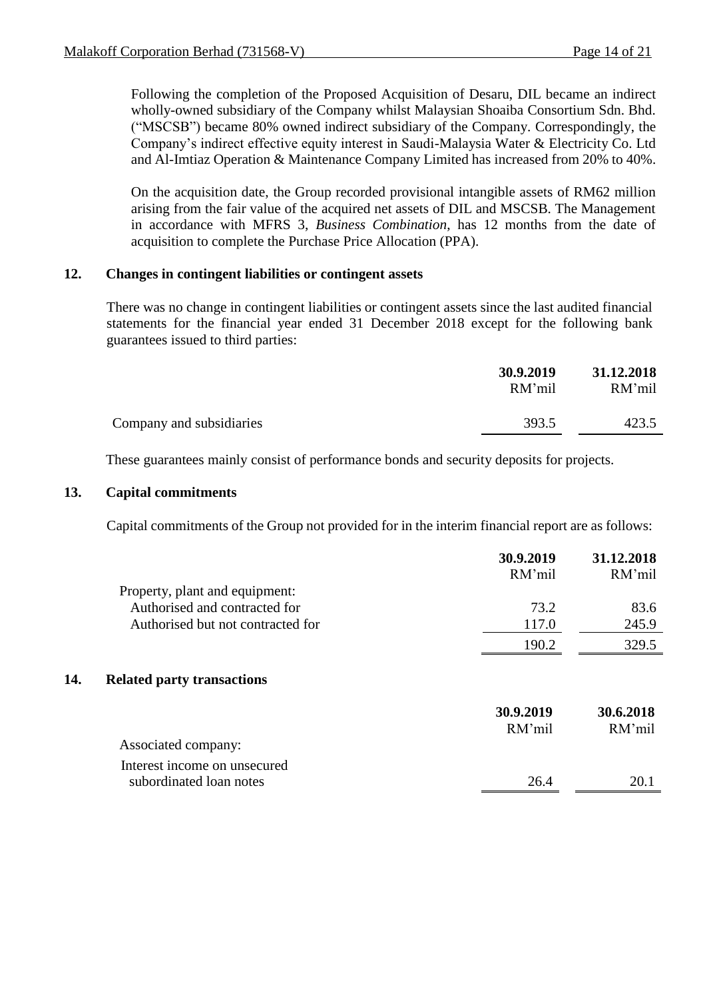Following the completion of the Proposed Acquisition of Desaru, DIL became an indirect wholly-owned subsidiary of the Company whilst Malaysian Shoaiba Consortium Sdn. Bhd. ("MSCSB") became 80% owned indirect subsidiary of the Company. Correspondingly, the Company's indirect effective equity interest in Saudi-Malaysia Water & Electricity Co. Ltd and Al-Imtiaz Operation & Maintenance Company Limited has increased from 20% to 40%.

On the acquisition date, the Group recorded provisional intangible assets of RM62 million arising from the fair value of the acquired net assets of DIL and MSCSB. The Management in accordance with MFRS 3, *Business Combination*, has 12 months from the date of acquisition to complete the Purchase Price Allocation (PPA).

#### **12. Changes in contingent liabilities or contingent assets**

There was no change in contingent liabilities or contingent assets since the last audited financial statements for the financial year ended 31 December 2018 except for the following bank guarantees issued to third parties:

|                          | 30.9.2019<br>RM'mil | 31.12.2018<br>RM'mil |
|--------------------------|---------------------|----------------------|
| Company and subsidiaries | 393.5               | 423.5                |
|                          |                     |                      |

These guarantees mainly consist of performance bonds and security deposits for projects.

#### **13. Capital commitments**

Capital commitments of the Group not provided for in the interim financial report are as follows:

|                                          | 30.9.2019<br>RM'mil | 31.12.2018<br>RM'mil |
|------------------------------------------|---------------------|----------------------|
| Property, plant and equipment:           |                     |                      |
| Authorised and contracted for            | 73.2                | 83.6                 |
| Authorised but not contracted for        | 117.0               | 245.9                |
|                                          | 190.2               | 329.5                |
| 14.<br><b>Related party transactions</b> |                     |                      |
|                                          | 30.9.2019           | 30.6.2018            |
|                                          | RM'mil              | RM'mil               |
| Associated company:                      |                     |                      |
| Interest income on unsecured             |                     |                      |
| subordinated loan notes                  | 26.4                | 20.1                 |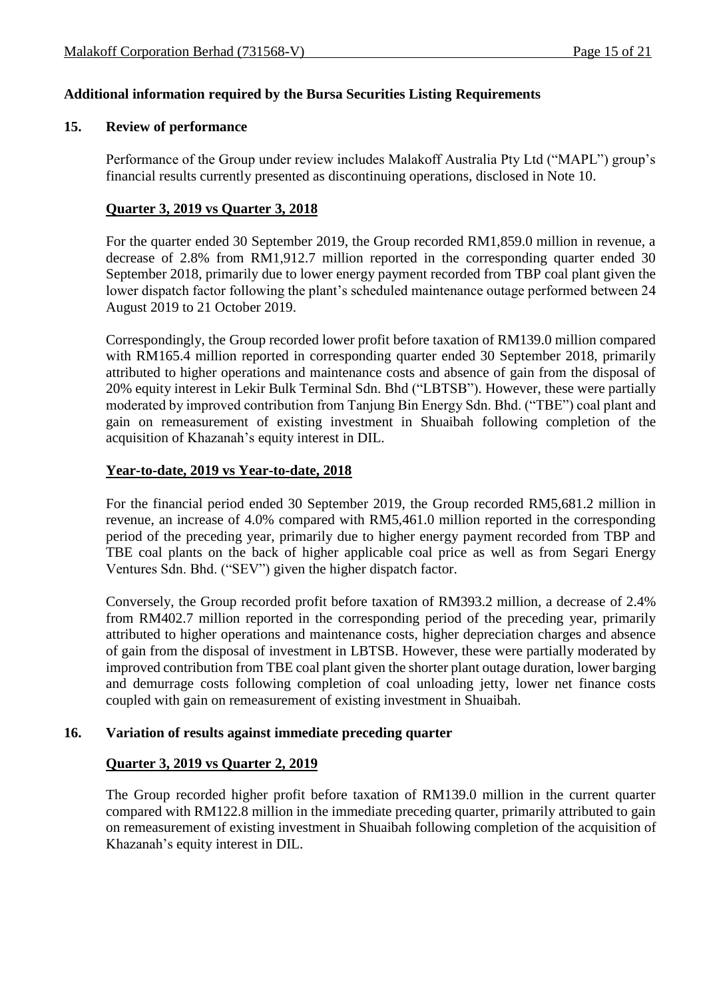#### **Additional information required by the Bursa Securities Listing Requirements**

#### **15. Review of performance**

Performance of the Group under review includes Malakoff Australia Pty Ltd ("MAPL") group's financial results currently presented as discontinuing operations, disclosed in Note 10.

#### **Quarter 3, 2019 vs Quarter 3, 2018**

For the quarter ended 30 September 2019, the Group recorded RM1,859.0 million in revenue, a decrease of 2.8% from RM1,912.7 million reported in the corresponding quarter ended 30 September 2018, primarily due to lower energy payment recorded from TBP coal plant given the lower dispatch factor following the plant's scheduled maintenance outage performed between 24 August 2019 to 21 October 2019.

Correspondingly, the Group recorded lower profit before taxation of RM139.0 million compared with RM165.4 million reported in corresponding quarter ended 30 September 2018, primarily attributed to higher operations and maintenance costs and absence of gain from the disposal of 20% equity interest in Lekir Bulk Terminal Sdn. Bhd ("LBTSB"). However, these were partially moderated by improved contribution from Tanjung Bin Energy Sdn. Bhd. ("TBE") coal plant and gain on remeasurement of existing investment in Shuaibah following completion of the acquisition of Khazanah's equity interest in DIL.

#### **Year-to-date, 2019 vs Year-to-date, 2018**

For the financial period ended 30 September 2019, the Group recorded RM5,681.2 million in revenue, an increase of 4.0% compared with RM5,461.0 million reported in the corresponding period of the preceding year, primarily due to higher energy payment recorded from TBP and TBE coal plants on the back of higher applicable coal price as well as from Segari Energy Ventures Sdn. Bhd. ("SEV") given the higher dispatch factor.

Conversely, the Group recorded profit before taxation of RM393.2 million, a decrease of 2.4% from RM402.7 million reported in the corresponding period of the preceding year, primarily attributed to higher operations and maintenance costs, higher depreciation charges and absence of gain from the disposal of investment in LBTSB. However, these were partially moderated by improved contribution from TBE coal plant given the shorter plant outage duration, lower barging and demurrage costs following completion of coal unloading jetty, lower net finance costs coupled with gain on remeasurement of existing investment in Shuaibah.

#### **16. Variation of results against immediate preceding quarter**

#### **Quarter 3, 2019 vs Quarter 2, 2019**

The Group recorded higher profit before taxation of RM139.0 million in the current quarter compared with RM122.8 million in the immediate preceding quarter, primarily attributed to gain on remeasurement of existing investment in Shuaibah following completion of the acquisition of Khazanah's equity interest in DIL.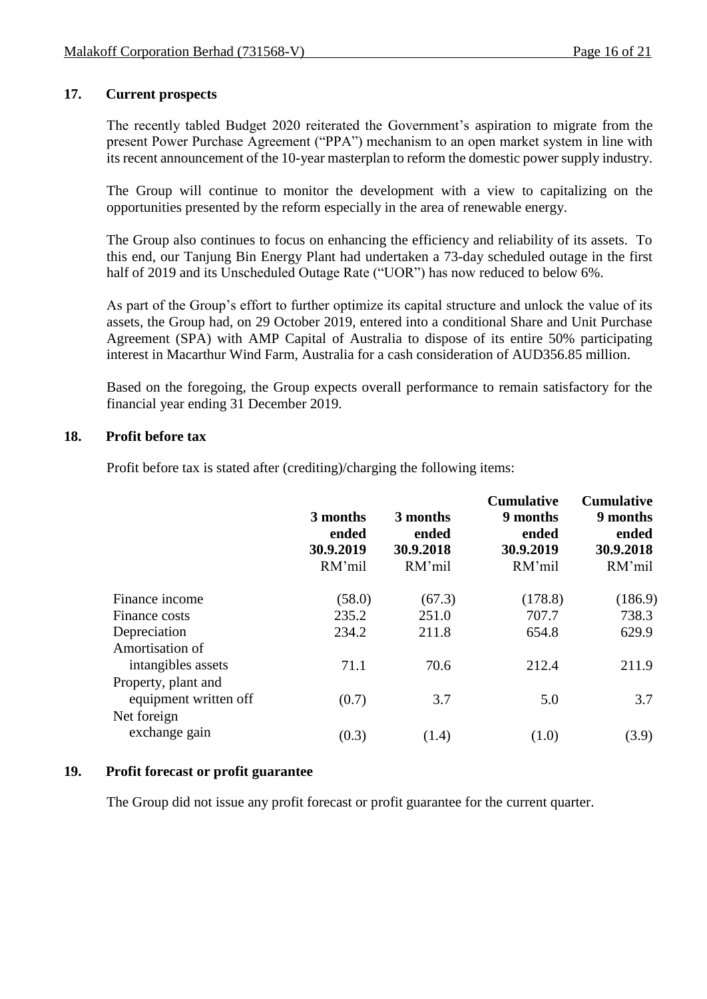#### **17. Current prospects**

The recently tabled Budget 2020 reiterated the Government's aspiration to migrate from the present Power Purchase Agreement ("PPA") mechanism to an open market system in line with its recent announcement of the 10-year masterplan to reform the domestic power supply industry.

The Group will continue to monitor the development with a view to capitalizing on the opportunities presented by the reform especially in the area of renewable energy.

The Group also continues to focus on enhancing the efficiency and reliability of its assets. To this end, our Tanjung Bin Energy Plant had undertaken a 73-day scheduled outage in the first half of 2019 and its Unscheduled Outage Rate ("UOR") has now reduced to below 6%.

As part of the Group's effort to further optimize its capital structure and unlock the value of its assets, the Group had, on 29 October 2019, entered into a conditional Share and Unit Purchase Agreement (SPA) with AMP Capital of Australia to dispose of its entire 50% participating interest in Macarthur Wind Farm, Australia for a cash consideration of AUD356.85 million.

Based on the foregoing, the Group expects overall performance to remain satisfactory for the financial year ending 31 December 2019.

#### **18. Profit before tax**

Profit before tax is stated after (crediting)/charging the following items:

|                       | 3 months<br>ended<br>30.9.2019<br>RM'mil | 3 months<br>ended<br>30.9.2018<br>RM'mil | <b>Cumulative</b><br>9 months<br>ended<br>30.9.2019<br>RM'mil | <b>Cumulative</b><br>9 months<br>ended<br>30.9.2018<br>RM'mil |
|-----------------------|------------------------------------------|------------------------------------------|---------------------------------------------------------------|---------------------------------------------------------------|
| Finance income        | (58.0)                                   | (67.3)                                   | (178.8)                                                       | (186.9)                                                       |
| Finance costs         | 235.2                                    | 251.0                                    | 707.7                                                         | 738.3                                                         |
| Depreciation          | 234.2                                    | 211.8                                    | 654.8                                                         | 629.9                                                         |
| Amortisation of       |                                          |                                          |                                                               |                                                               |
| intangibles assets    | 71.1                                     | 70.6                                     | 212.4                                                         | 211.9                                                         |
| Property, plant and   |                                          |                                          |                                                               |                                                               |
| equipment written off | (0.7)                                    | 3.7                                      | 5.0                                                           | 3.7                                                           |
| Net foreign           |                                          |                                          |                                                               |                                                               |
| exchange gain         | (0.3)                                    | (1.4)                                    | (1.0)                                                         | (3.9)                                                         |

#### **19. Profit forecast or profit guarantee**

The Group did not issue any profit forecast or profit guarantee for the current quarter.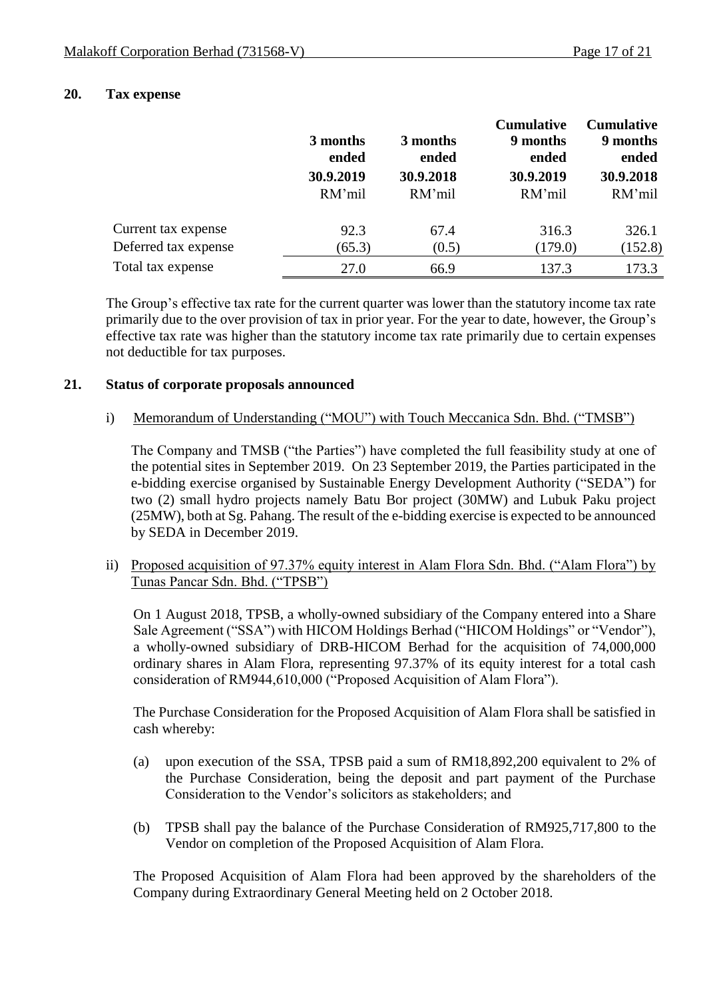#### **20. Tax expense**

|                      | 3 months<br>ended   | 3 months<br>ended   | <b>Cumulative</b><br>9 months<br>ended | <b>Cumulative</b><br>9 months<br>ended |
|----------------------|---------------------|---------------------|----------------------------------------|----------------------------------------|
|                      | 30.9.2019<br>RM'mil | 30.9.2018<br>RM'mil | 30.9.2019<br>RM'mil                    | 30.9.2018<br>RM'mil                    |
| Current tax expense  | 92.3                | 67.4                | 316.3                                  | 326.1                                  |
| Deferred tax expense | (65.3)              | (0.5)               | (179.0)                                | (152.8)                                |
| Total tax expense    | 27.0                | 66.9                | 137.3                                  | 173.3                                  |

The Group's effective tax rate for the current quarter was lower than the statutory income tax rate primarily due to the over provision of tax in prior year. For the year to date, however, the Group's effective tax rate was higher than the statutory income tax rate primarily due to certain expenses not deductible for tax purposes.

#### **21. Status of corporate proposals announced**

#### i) Memorandum of Understanding ("MOU") with Touch Meccanica Sdn. Bhd. ("TMSB")

The Company and TMSB ("the Parties") have completed the full feasibility study at one of the potential sites in September 2019. On 23 September 2019, the Parties participated in the e-bidding exercise organised by Sustainable Energy Development Authority ("SEDA") for two (2) small hydro projects namely Batu Bor project (30MW) and Lubuk Paku project (25MW), both at Sg. Pahang. The result of the e-bidding exercise is expected to be announced by SEDA in December 2019.

ii) Proposed acquisition of 97.37% equity interest in Alam Flora Sdn. Bhd. ("Alam Flora") by Tunas Pancar Sdn. Bhd. ("TPSB")

On 1 August 2018, TPSB, a wholly-owned subsidiary of the Company entered into a Share Sale Agreement ("SSA") with HICOM Holdings Berhad ("HICOM Holdings" or "Vendor"), a wholly-owned subsidiary of DRB-HICOM Berhad for the acquisition of 74,000,000 ordinary shares in Alam Flora, representing 97.37% of its equity interest for a total cash consideration of RM944,610,000 ("Proposed Acquisition of Alam Flora").

The Purchase Consideration for the Proposed Acquisition of Alam Flora shall be satisfied in cash whereby:

- (a) upon execution of the SSA, TPSB paid a sum of RM18,892,200 equivalent to 2% of the Purchase Consideration, being the deposit and part payment of the Purchase Consideration to the Vendor's solicitors as stakeholders; and
- (b) TPSB shall pay the balance of the Purchase Consideration of RM925,717,800 to the Vendor on completion of the Proposed Acquisition of Alam Flora.

The Proposed Acquisition of Alam Flora had been approved by the shareholders of the Company during Extraordinary General Meeting held on 2 October 2018.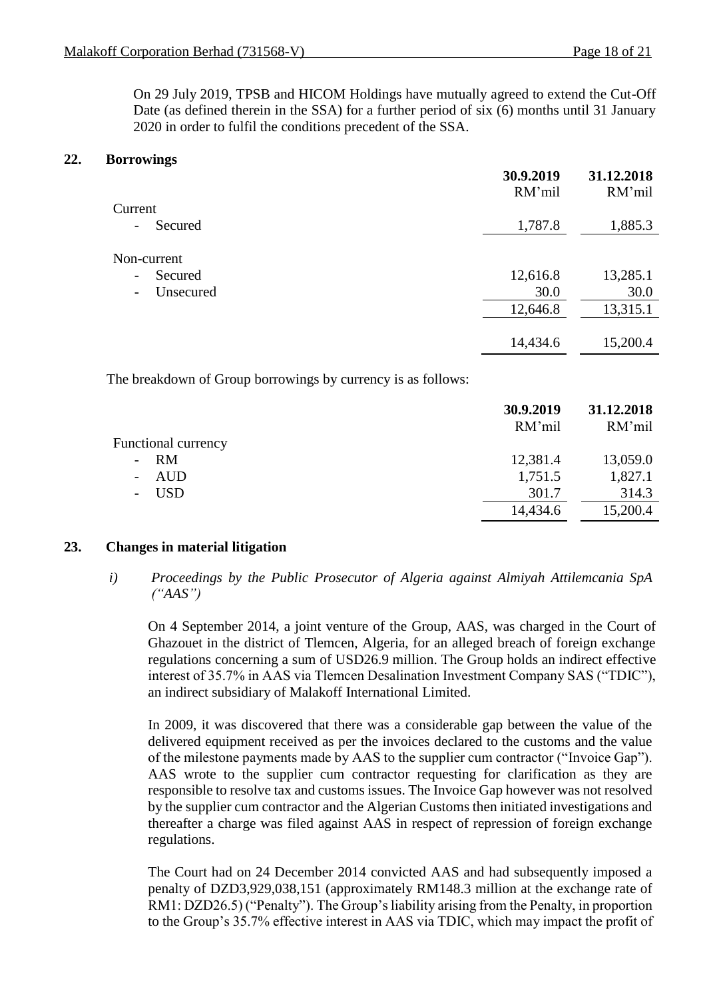On 29 July 2019, TPSB and HICOM Holdings have mutually agreed to extend the Cut-Off Date (as defined therein in the SSA) for a further period of six (6) months until 31 January 2020 in order to fulfil the conditions precedent of the SSA.

#### **22. Borrowings**

|                                                                 | 30.9.2019<br>RM'mil | 31.12.2018<br>RM'mil |
|-----------------------------------------------------------------|---------------------|----------------------|
| Current                                                         |                     |                      |
| Secured<br>$-$                                                  | 1,787.8             | 1,885.3              |
| Non-current<br>Secured<br>$\overline{\phantom{a}}$<br>Unsecured | 12,616.8<br>30.0    | 13,285.1<br>30.0     |
| $\overline{\phantom{a}}$                                        | 12,646.8            | 13,315.1             |
|                                                                 | 14,434.6            | 15,200.4             |

The breakdown of Group borrowings by currency is as follows:

|                            | 30.9.2019<br>RM'mil | 31.12.2018<br>RM'mil |
|----------------------------|---------------------|----------------------|
| <b>Functional currency</b> |                     |                      |
| $- RM$                     | 12,381.4            | 13,059.0             |
| AUD                        | 1,751.5             | 1,827.1              |
| <b>USD</b>                 | 301.7               | 314.3                |
|                            | 14,434.6            | 15,200.4             |

#### **23. Changes in material litigation**

*i) Proceedings by the Public Prosecutor of Algeria against Almiyah Attilemcania SpA ("AAS")*

On 4 September 2014, a joint venture of the Group, AAS, was charged in the Court of Ghazouet in the district of Tlemcen, Algeria, for an alleged breach of foreign exchange regulations concerning a sum of USD26.9 million. The Group holds an indirect effective interest of 35.7% in AAS via Tlemcen Desalination Investment Company SAS ("TDIC"), an indirect subsidiary of Malakoff International Limited.

In 2009, it was discovered that there was a considerable gap between the value of the delivered equipment received as per the invoices declared to the customs and the value of the milestone payments made by AAS to the supplier cum contractor ("Invoice Gap"). AAS wrote to the supplier cum contractor requesting for clarification as they are responsible to resolve tax and customs issues. The Invoice Gap however was not resolved by the supplier cum contractor and the Algerian Customs then initiated investigations and thereafter a charge was filed against AAS in respect of repression of foreign exchange regulations.

The Court had on 24 December 2014 convicted AAS and had subsequently imposed a penalty of DZD3,929,038,151 (approximately RM148.3 million at the exchange rate of RM1: DZD26.5) ("Penalty"). The Group's liability arising from the Penalty, in proportion to the Group's 35.7% effective interest in AAS via TDIC, which may impact the profit of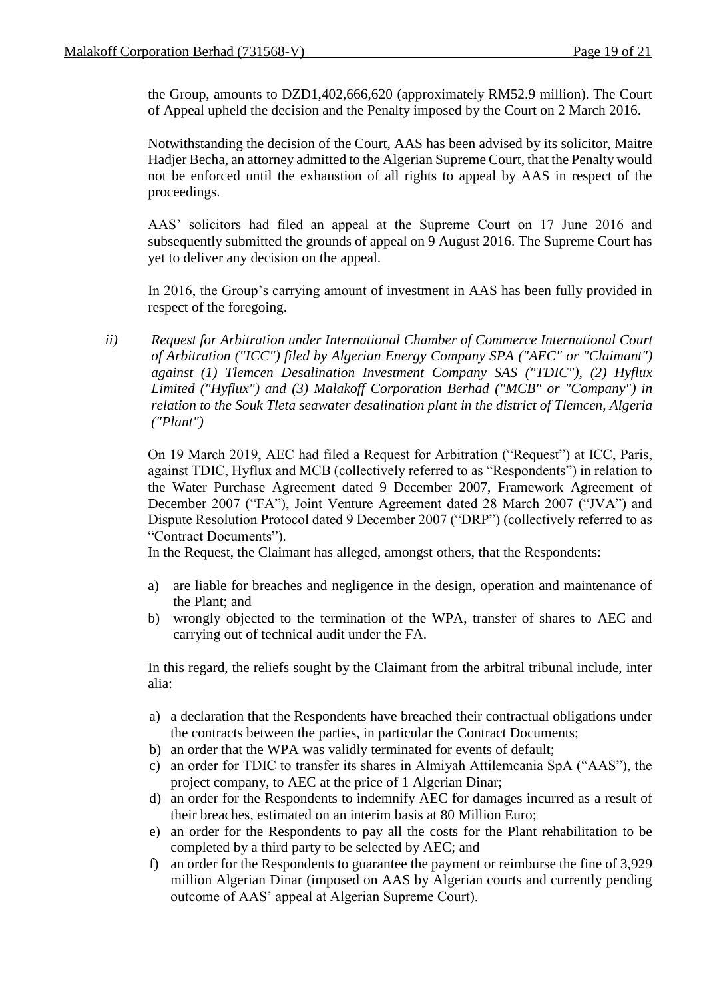the Group, amounts to DZD1,402,666,620 (approximately RM52.9 million). The Court of Appeal upheld the decision and the Penalty imposed by the Court on 2 March 2016.

Notwithstanding the decision of the Court, AAS has been advised by its solicitor, Maitre Hadjer Becha, an attorney admitted to the Algerian Supreme Court, that the Penalty would not be enforced until the exhaustion of all rights to appeal by AAS in respect of the proceedings.

AAS' solicitors had filed an appeal at the Supreme Court on 17 June 2016 and subsequently submitted the grounds of appeal on 9 August 2016. The Supreme Court has yet to deliver any decision on the appeal.

In 2016, the Group's carrying amount of investment in AAS has been fully provided in respect of the foregoing.

*ii) Request for Arbitration under International Chamber of Commerce International Court of Arbitration ("ICC") filed by Algerian Energy Company SPA ("AEC" or "Claimant") against (1) Tlemcen Desalination Investment Company SAS ("TDIC"), (2) Hyflux Limited ("Hyflux") and (3) Malakoff Corporation Berhad ("MCB" or "Company") in relation to the Souk Tleta seawater desalination plant in the district of Tlemcen, Algeria ("Plant")*

On 19 March 2019, AEC had filed a Request for Arbitration ("Request") at ICC, Paris, against TDIC, Hyflux and MCB (collectively referred to as "Respondents") in relation to the Water Purchase Agreement dated 9 December 2007, Framework Agreement of December 2007 ("FA"), Joint Venture Agreement dated 28 March 2007 ("JVA") and Dispute Resolution Protocol dated 9 December 2007 ("DRP") (collectively referred to as "Contract Documents").

In the Request, the Claimant has alleged, amongst others, that the Respondents:

- a) are liable for breaches and negligence in the design, operation and maintenance of the Plant; and
- b) wrongly objected to the termination of the WPA, transfer of shares to AEC and carrying out of technical audit under the FA.

In this regard, the reliefs sought by the Claimant from the arbitral tribunal include, inter alia:

- a) a declaration that the Respondents have breached their contractual obligations under the contracts between the parties, in particular the Contract Documents;
- b) an order that the WPA was validly terminated for events of default;
- c) an order for TDIC to transfer its shares in Almiyah Attilemcania SpA ("AAS"), the project company, to AEC at the price of 1 Algerian Dinar;
- d) an order for the Respondents to indemnify AEC for damages incurred as a result of their breaches, estimated on an interim basis at 80 Million Euro;
- e) an order for the Respondents to pay all the costs for the Plant rehabilitation to be completed by a third party to be selected by AEC; and
- f) an order for the Respondents to guarantee the payment or reimburse the fine of 3,929 million Algerian Dinar (imposed on AAS by Algerian courts and currently pending outcome of AAS' appeal at Algerian Supreme Court).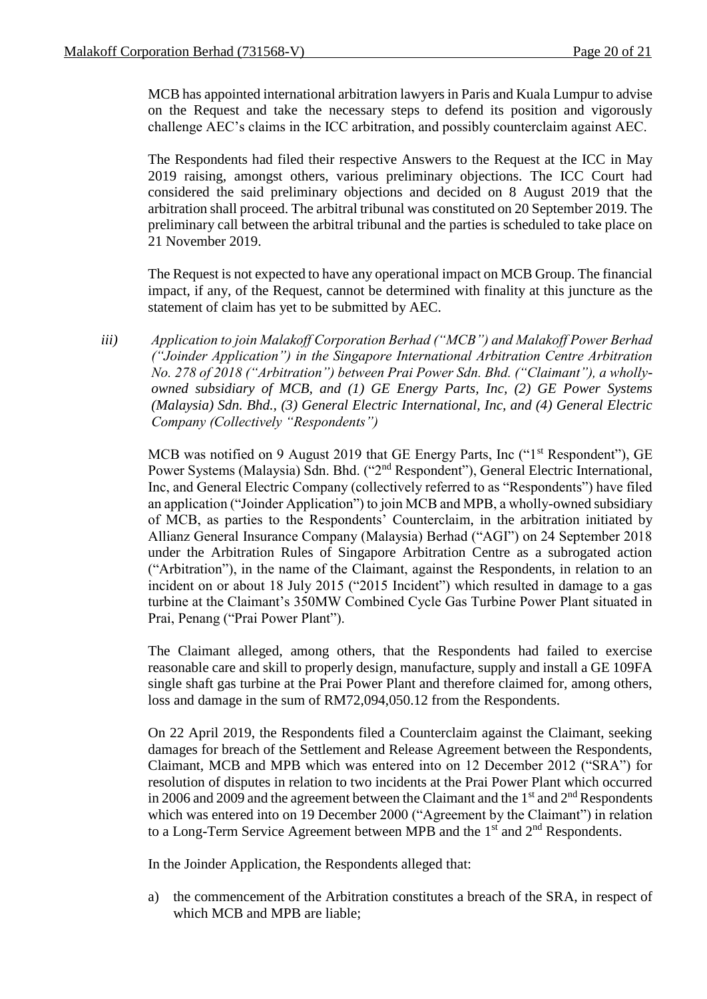MCB has appointed international arbitration lawyers in Paris and Kuala Lumpur to advise on the Request and take the necessary steps to defend its position and vigorously challenge AEC's claims in the ICC arbitration, and possibly counterclaim against AEC.

The Respondents had filed their respective Answers to the Request at the ICC in May 2019 raising, amongst others, various preliminary objections. The ICC Court had considered the said preliminary objections and decided on 8 August 2019 that the arbitration shall proceed. The arbitral tribunal was constituted on 20 September 2019. The preliminary call between the arbitral tribunal and the parties is scheduled to take place on 21 November 2019.

The Request is not expected to have any operational impact on MCB Group. The financial impact, if any, of the Request, cannot be determined with finality at this juncture as the statement of claim has yet to be submitted by AEC.

*iii) Application to join Malakoff Corporation Berhad ("MCB") and Malakoff Power Berhad ("Joinder Application") in the Singapore International Arbitration Centre Arbitration No. 278 of 2018 ("Arbitration") between Prai Power Sdn. Bhd. ("Claimant"), a whollyowned subsidiary of MCB, and (1) GE Energy Parts, Inc, (2) GE Power Systems (Malaysia) Sdn. Bhd., (3) General Electric International, Inc, and (4) General Electric Company (Collectively "Respondents")*

MCB was notified on 9 August 2019 that GE Energy Parts, Inc ("1<sup>st</sup> Respondent"), GE Power Systems (Malaysia) Sdn. Bhd. ("2<sup>nd</sup> Respondent"), General Electric International, Inc, and General Electric Company (collectively referred to as "Respondents") have filed an application ("Joinder Application") to join MCB and MPB, a wholly-owned subsidiary of MCB, as parties to the Respondents' Counterclaim, in the arbitration initiated by Allianz General Insurance Company (Malaysia) Berhad ("AGI") on 24 September 2018 under the Arbitration Rules of Singapore Arbitration Centre as a subrogated action ("Arbitration"), in the name of the Claimant, against the Respondents, in relation to an incident on or about 18 July 2015 ("2015 Incident") which resulted in damage to a gas turbine at the Claimant's 350MW Combined Cycle Gas Turbine Power Plant situated in Prai, Penang ("Prai Power Plant").

The Claimant alleged, among others, that the Respondents had failed to exercise reasonable care and skill to properly design, manufacture, supply and install a GE 109FA single shaft gas turbine at the Prai Power Plant and therefore claimed for, among others, loss and damage in the sum of RM72,094,050.12 from the Respondents.

On 22 April 2019, the Respondents filed a Counterclaim against the Claimant, seeking damages for breach of the Settlement and Release Agreement between the Respondents, Claimant, MCB and MPB which was entered into on 12 December 2012 ("SRA") for resolution of disputes in relation to two incidents at the Prai Power Plant which occurred in 2006 and 2009 and the agreement between the Claimant and the  $1<sup>st</sup>$  and  $2<sup>nd</sup>$  Respondents which was entered into on 19 December 2000 ("Agreement by the Claimant") in relation to a Long-Term Service Agreement between MPB and the  $1<sup>st</sup>$  and  $2<sup>nd</sup>$  Respondents.

In the Joinder Application, the Respondents alleged that:

a) the commencement of the Arbitration constitutes a breach of the SRA, in respect of which MCB and MPB are liable;